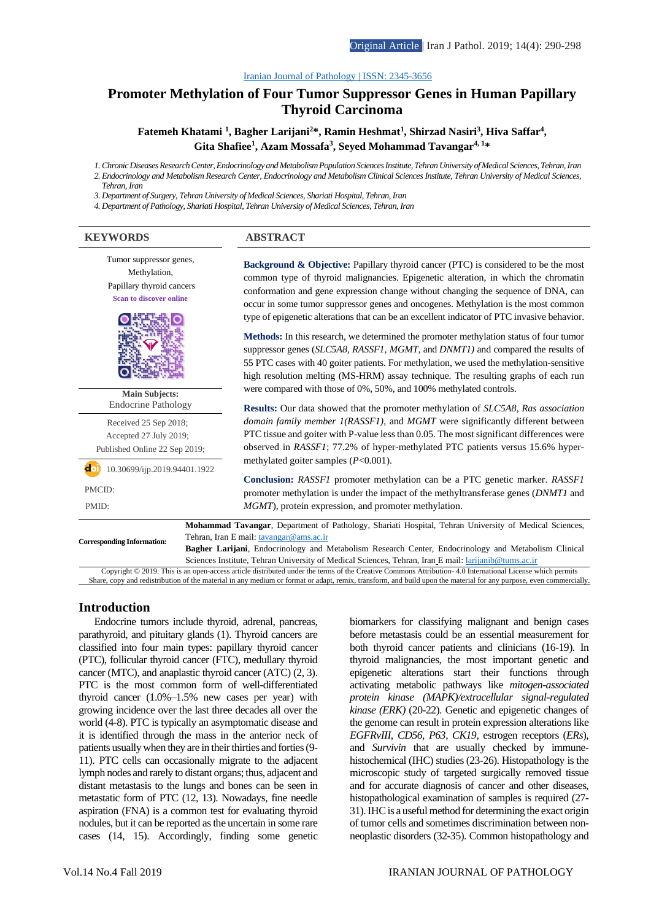#### [Iranian Journal of Pathology | ISSN: 2345-3656](http://ijp.iranpath.org/)

# **[Promoter Methylation of Four Tumor Suppressor Genes in Human Papillary](http://ijp.iranpath.org/article_36630.html)  [Thyroid Carcinoma](http://ijp.iranpath.org/article_36630.html)**

**Fatemeh Khatami <sup>1</sup> , Bagher Larijani<sup>2</sup>\*, Ramin Heshmat<sup>1</sup> , Shirzad Nasiri<sup>3</sup> , Hiva Saffar<sup>4</sup> , Gita Shafiee<sup>1</sup> , Azam Mossafa<sup>3</sup> , Seyed Mohammad Tavangar4, 1\***

*1. Chronic Diseases Research Center, Endocrinology and Metabolism Population Sciences Institute, Tehran University of Medical Sciences, Tehran, Iran 2. Endocrinology and Metabolism Research Center, Endocrinology and Metabolism Clinical Sciences Institute, Tehran University of Medical Sciences,* 

*Tehran, Iran*

*3. Department of Surgery, Tehran University of Medical Sciences, Shariati Hospital, Tehran, Iran*

*4. Department of Pathology, Shariati Hospital, Tehran University of Medical Sciences, Tehran, Iran*

#### **KEYWORDS ABSTRACT**

Tumor suppressor genes, Methylation, Papillary thyroid cancers **Scan to discover online Background & Objective:** Papillary thyroid cancer (PTC) is considered to be the most common type of thyroid malignancies. Epigenetic alteration, in which the chromatin conformation and gene expression change without changing the sequence of DNA, can occur in some tumor suppressor genes and oncogenes. Methylation is the most common type of epigenetic alterations that can be an excellent indicator of PTC invasive behavior. **Methods:** In this research, we determined the promoter methylation status of four tumor suppressor genes (*SLC5A8, RASSF1, MGMT,* and *DNMT1)* and compared the results of 55 PTC cases with 40 goiter patients. For methylation, we used the methylation-sensitive high resolution melting (MS-HRM) assay technique. The resulting graphs of each run were compared with those of 0%, 50%, and 100% methylated controls. **Results:** Our data showed that the promoter methylation of *SLC5A8*, *Ras association domain family member 1(RASSF1)*, and *MGMT* were significantly different between PTC tissue and goiter with P-value less than 0.05. The most significant differences were observed in *RASSF1*; 77.2% of hyper-methylated PTC patients versus 15.6% hypermethylated goiter samples (*P*<0.001). **Conclusion:** *RASSF1* promoter methylation can be a PTC genetic marker. *RASSF1* promoter methylation is under the impact of the methyltransferase genes (*DNMT1* and *MGMT*), protein expression, and promoter methylation. **Main Subjects:**  Endocrine Pathology Received 25 Sep 2018; Accepted 27 July 2019; Published Online 22 Sep 2019;  $\overrightarrow{a}$  10.30699/ijp.2019.94401.1922 PMCID: PMID: **Corresponding Information: Mohammad Tavangar**, Department of Pathology, Shariati Hospital, Tehran University of Medical Sciences, Tehran, Iran E mail[: tavangar@ams.ac.ir](mailto:Tavangar@ams.ac.ir) **Bagher Larijani**, Endocrinology and Metabolism Research Center, Endocrinology and Metabolism Clinical Sciences Institute, Tehran University of Medical Sciences, Tehran, Iran E mail: [larijanib@tums.ac.ir](mailto:Larijanib@tums.ac.ir)

Copyright © 2019. This is an open-access article distributed under the terms of the Creative Commons Attribution- 4.0 International License which permits Share, copy and redistribution of the material in any medium or format or adapt, remix, transform, and build upon the material for any purpose, even commercially.

## **Introduction**

Endocrine tumors include thyroid, adrenal, pancreas, parathyroid, and pituitary glands (1). Thyroid cancers are classified into four main types: papillary thyroid cancer (PTC), follicular thyroid cancer (FTC), medullary thyroid cancer (MTC), and anaplastic thyroid cancer (ATC) (2, 3). PTC is the most common form of well-differentiated thyroid cancer (1.0%–1.5% new cases per year) with growing incidence over the last three decades all over the world (4-8). PTC is typically an asymptomatic disease and it is identified through the mass in the anterior neck of patients usually when they are in their thirties and forties (9- 11). PTC cells can occasionally migrate to the adjacent lymph nodes and rarely to distant organs; thus, adjacent and distant metastasis to the lungs and bones can be seen in metastatic form of PTC (12, 13). Nowadays, fine needle aspiration (FNA) is a common test for evaluating thyroid nodules, but it can be reported as the uncertain in some rare cases (14, 15). Accordingly, finding some genetic

biomarkers for classifying malignant and benign cases before metastasis could be an essential measurement for both thyroid cancer patients and clinicians (16-19). In thyroid malignancies, the most important genetic and epigenetic alterations start their functions through activating metabolic pathways like *mitogen-associated protein kinase (MAPK)/extracellular signal-regulated kinase (ERK)* (20-22). Genetic and epigenetic changes of the genome can result in protein expression alterations like *EGFRvIII*, *CD56, P63, CK19,* estrogen receptors (*ERs*), and *Survivin* that are usually checked by immunehistochemical (IHC) studies (23-26). Histopathology is the microscopic study of targeted surgically removed tissue and for accurate diagnosis of cancer and other diseases, histopathological examination of samples is required (27- 31). IHC is a useful method for determining the exact origin of tumor cells and sometimes discrimination between nonneoplastic disorders (32-35). Common histopathology and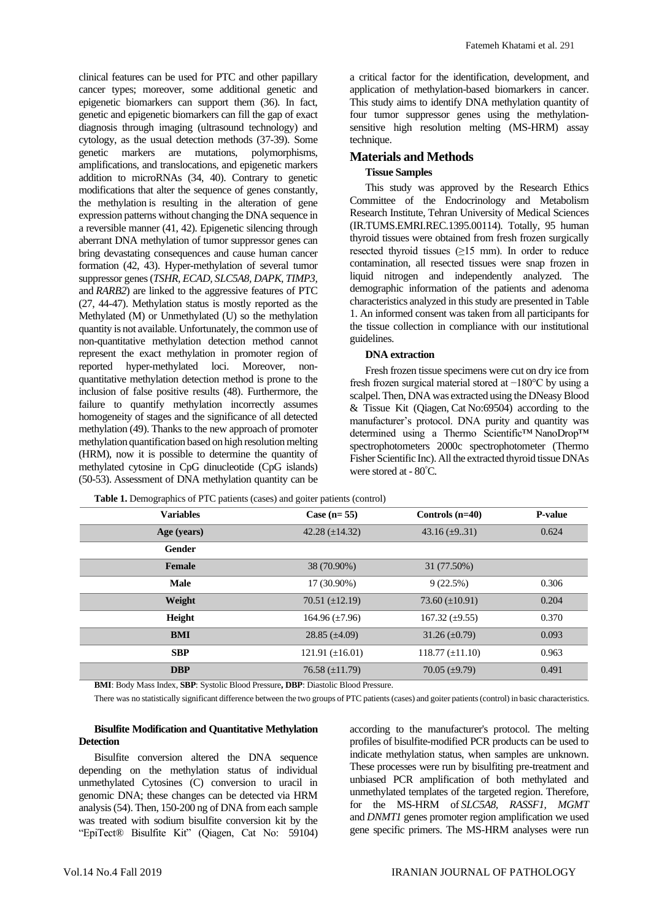clinical features can be used for PTC and other papillary cancer types; moreover, some additional genetic and epigenetic biomarkers can support them (36). In fact, genetic and epigenetic biomarkers can fill the gap of exact diagnosis through imaging (ultrasound technology) and cytology, as the usual detection methods (37-39). Some genetic markers are mutations, polymorphisms, amplifications, and translocations, and epigenetic markers addition to microRNAs (34, 40). Contrary to genetic modifications that alter the sequence of genes constantly, the methylation is resulting in the alteration of gene expression patterns without changing the DNA sequence in a reversible manner (41, 42). Epigenetic silencing through aberrant DNA methylation of tumor suppressor genes can bring devastating consequences and cause human cancer formation (42, 43). Hyper-methylation of several tumor suppressor genes (*TSHR, ECAD, SLC5A8, DAPK, TIMP3,* and *RARB2*) are linked to the aggressive features of PTC (27, 44-47). Methylation status is mostly reported as the Methylated (M) or Unmethylated (U) so the methylation quantity is not available. Unfortunately, the common use of non-quantitative methylation detection method cannot represent the exact methylation in promoter region of reported hyper-methylated loci. Moreover, nonquantitative methylation detection method is prone to the inclusion of false positive results (48). Furthermore, the failure to quantify methylation incorrectly assumes homogeneity of stages and the significance of all detected methylation (49). Thanks to the new approach of promoter methylation quantification based on high resolution melting (HRM), now it is possible to determine the quantity of methylated cytosine in CpG dinucleotide (CpG islands) (50-53). Assessment of DNA methylation quantity can be

a critical factor for the identification, development, and application of methylation-based biomarkers in cancer. This study aims to identify DNA methylation quantity of four tumor suppressor genes using the methylationsensitive high resolution melting (MS-HRM) assay technique.

# **Materials and Methods**

### **Tissue Samples**

This study was approved by the Research Ethics Committee of the Endocrinology and Metabolism Research Institute, Tehran University of Medical Sciences (IR.TUMS.EMRI.REC.1395.00114). Totally, 95 human thyroid tissues were obtained from fresh frozen surgically resected thyroid tissues  $(≥15$  mm). In order to reduce contamination, all resected tissues were snap frozen in liquid nitrogen and independently analyzed. The demographic information of the patients and adenoma characteristics analyzed in this study are presented in Table 1. An informed consent was taken from all participants for the tissue collection in compliance with our institutional guidelines.

### **DNA extraction**

Fresh frozen tissue specimens were cut on dry ice from fresh frozen surgical material stored at −180°C by using a scalpel. Then, DNA was extracted using the DNeasy Blood & Tissue Kit (Qiagen, Cat No:69504) according to the manufacturer's protocol. DNA purity and quantity was determined using a Thermo Scientific™ NanoDrop™ spectrophotometers 2000c spectrophotometer (Thermo Fisher Scientific Inc). All the extracted thyroid tissue DNAs were stored at - 80°C.

| <b>Variables</b> | Case $(n=55)$        | Controls $(n=40)$      | <b>P-value</b> |
|------------------|----------------------|------------------------|----------------|
| Age (years)      | 42.28 $(\pm 14.32)$  | 43.16 $(\pm 931)$      | 0.624          |
| Gender           |                      |                        |                |
| Female           | 38 (70.90%)          | 31 (77.50%)            |                |
| <b>Male</b>      | 17 (30.90%)          | 9(22.5%)               | 0.306          |
| Weight           | 70.51 $(\pm 12.19)$  | 73.60 $(\pm 10.91)$    | 0.204          |
| Height           | 164.96 $(\pm 7.96)$  | 167.32 $(\pm 9.55)$    | 0.370          |
| <b>BMI</b>       | $28.85 \ (\pm 4.09)$ | $31.26 \ (\pm 0.79)$   | 0.093          |
| <b>SBP</b>       | 121.91 $(\pm 16.01)$ | $118.77 \ (\pm 11.10)$ | 0.963          |
| <b>DBP</b>       | 76.58 $(\pm 11.79)$  | $70.05 \ (\pm 9.79)$   | 0.491          |

**Table 1.** Demographics of PTC patients (cases) and goiter patients (control)

**BMI**: Body Mass Index, **SBP**: Systolic Blood Pressure**, DBP**: Diastolic Blood Pressure.

There was no statistically significant difference between the two groups of PTC patients (cases) and goiter patients (control) in basic characteristics.

## **Bisulfite Modification and Quantitative Methylation Detection**

Bisulfite conversion altered the DNA sequence depending on the methylation status of individual unmethylated Cytosines (C) conversion to uracil in genomic DNA; these changes can be detected via HRM analysis (54). Then, 150-200 ng of DNA from each sample was treated with sodium bisulfite conversion kit by the "EpiTect® Bisulfite Kit" (Qiagen, Cat No: 59104) according to the manufacturer's protocol. The melting profiles of bisulfite-modified PCR products can be used to indicate methylation status, when samples are unknown. These processes were run by bisulfiting pre-treatment and unbiased PCR amplification of both methylated and unmethylated templates of the targeted region. Therefore, for the MS-HRM of *SLC5A8, RASSF1, MGMT*  and *DNMT1* genes promoter region amplification we used gene specific primers. The MS-HRM analyses were run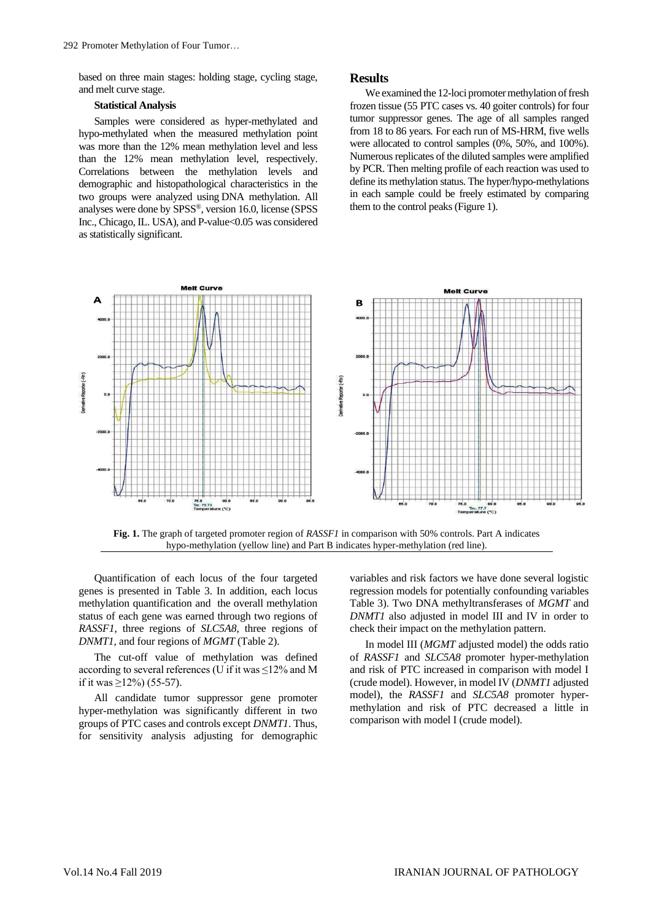based on three main stages: holding stage, cycling stage, and melt curve stage.

#### **Statistical Analysis**

Samples were considered as hyper-methylated and hypo-methylated when the measured methylation point was more than the 12% mean methylation level and less than the 12% mean methylation level, respectively. Correlations between the methylation levels and demographic and histopathological characteristics in the two groups were analyzed using DNA methylation. All analyses were done by SPSS®, version 16.0, license (SPSS Inc., Chicago, IL. USA), and P-value<0.05 was considered as statistically significant.

#### **Results**

We examined the 12-loci promoter methylation of fresh frozen tissue (55 PTC cases vs. 40 goiter controls) for four tumor suppressor genes. The age of all samples ranged from 18 to 86 years. For each run of MS-HRM, five wells were allocated to control samples (0%, 50%, and 100%). Numerous replicates of the diluted samples were amplified by PCR. Then melting profile of each reaction was used to define its methylation status. The hyper/hypo-methylations in each sample could be freely estimated by comparing them to the control peaks (Figure 1).



**Fig. 1.** The graph of targeted promoter region of *RASSF1* in comparison with 50% controls. Part A indicates hypo-methylation (yellow line) and Part B indicates hyper-methylation (red line).

Quantification of each locus of the four targeted genes is presented in Table 3. In addition, each locus methylation quantification and the overall methylation status of each gene was earned through two regions of *RASSF1*, three regions of *SLC5A8*, three regions of *DNMT1,* and four regions of *MGMT* (Table 2).

The cut-off value of methylation was defined according to several references (U if it was  $\leq$ 12% and M if it was  $\geq$ 12%) (55-57).

All candidate tumor suppressor gene promoter hyper-methylation was significantly different in two groups of PTC cases and controls except *DNMT1*. Thus, for sensitivity analysis adjusting for demographic variables and risk factors we have done several logistic regression models for potentially confounding variables Table 3). Two DNA methyltransferases of *MGMT* and *DNMT1* also adjusted in model III and IV in order to check their impact on the methylation pattern.

In model III (*MGMT* adjusted model) the odds ratio of *RASSF1* and *SLC5A8* promoter hyper-methylation and risk of PTC increased in comparison with model I (crude model). However, in model IV (*DNMT1* adjusted model), the *RASSF1* and *SLC5A8* promoter hypermethylation and risk of PTC decreased a little in comparison with model I (crude model).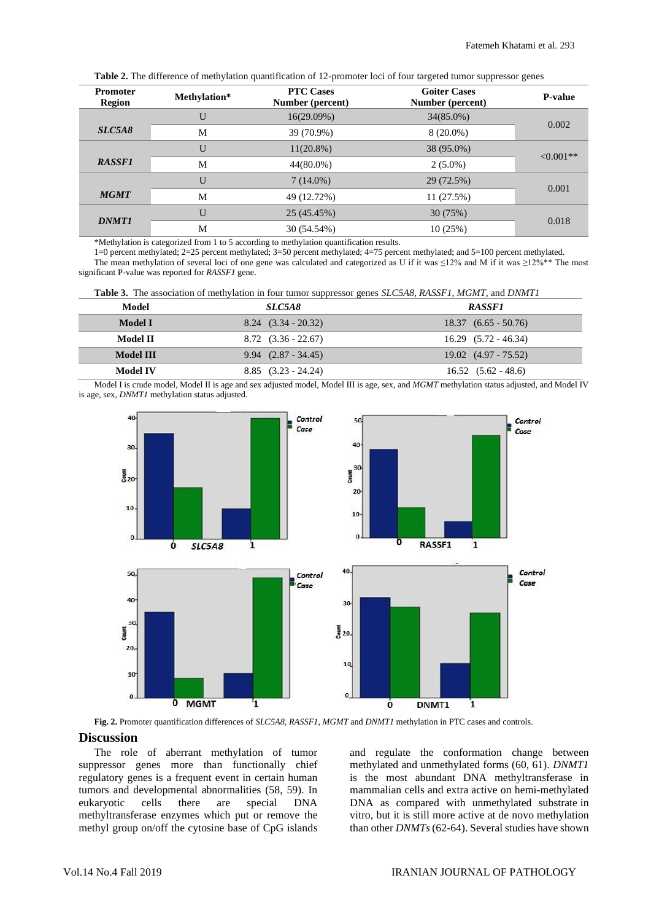|  |  | Table 2. The difference of methylation quantification of 12-promoter loci of four targeted tumor suppressor genes |
|--|--|-------------------------------------------------------------------------------------------------------------------|
|--|--|-------------------------------------------------------------------------------------------------------------------|

| <b>Promoter</b><br>Region | Methylation* | <b>PTC Cases</b><br>Number (percent) | <b>Goiter Cases</b><br>Number (percent) | <b>P-value</b> |
|---------------------------|--------------|--------------------------------------|-----------------------------------------|----------------|
|                           | U            | 16(29.09%)                           | $34(85.0\%)$                            | 0.002          |
| SLC5A8                    | M            | 39 (70.9%)                           | $8(20.0\%)$                             |                |
|                           | U            | $11(20.8\%)$                         | 38 (95.0%)                              | $< 0.001$ **   |
| <b>RASSF1</b>             | M            | 44(80.0%)                            | $2(5.0\%)$                              |                |
|                           | U            | $7(14.0\%)$                          | 29 (72.5%)                              | 0.001          |
| <b>MGMT</b>               | M            | 49 (12.72%)                          | 11(27.5%)                               |                |
| <b>DNMT1</b>              | U            | 25 (45.45%)                          | 30(75%)                                 | 0.018          |
|                           | M            | 30 (54.54%)                          | 10(25%)                                 |                |

\*Methylation is categorized from 1 to 5 according to methylation quantification results.

1=0 percent methylated; 2=25 percent methylated; 3=50 percent methylated; 4=75 percent methylated; and 5=100 percent methylated. The mean methylation of several loci of one gene was calculated and categorized as U if it was ≤12% and M if it was ≥12%\*\* The most significant P-value was reported for *RASSF1* gene.

|  |  |  | <b>Table 3.</b> The association of methylation in four tumor suppressor genes <i>SLC5A8, RASSF1, MGMT,</i> and <i>DNMT1</i> |  |
|--|--|--|-----------------------------------------------------------------------------------------------------------------------------|--|
|--|--|--|-----------------------------------------------------------------------------------------------------------------------------|--|

| Model     | <i>SLC5A8</i>           | <b>RASSF1</b>            |
|-----------|-------------------------|--------------------------|
| Model I   | $8.24$ $(3.34 - 20.32)$ | $18.37(6.65 - 50.76)$    |
| Model II  | $8.72$ $(3.36 - 22.67)$ | $16.29$ $(5.72 - 46.34)$ |
| Model III | $9.94$ $(2.87 - 34.45)$ | $19.02$ $(4.97 - 75.52)$ |
| Model IV  | $8.85$ $(3.23 - 24.24)$ | $16.52$ $(5.62 - 48.6)$  |
|           |                         |                          |

Model I is crude model, Model II is age and sex adjusted model, Model III is age, sex, and *MGMT* methylation status adjusted, and Model IV is age, sex, *DNMT1* methylation status adjusted.



**Fig. 2.** Promoter quantification differences of *SLC5A8, RASSF1, MGMT* and *DNMT1* methylation in PTC cases and controls.

# **Discussion**

The role of aberrant methylation of tumor suppressor genes more than functionally chief regulatory genes is a frequent event in certain human tumors and developmental abnormalities (58, 59). In eukaryotic cells there are special DNA methyltransferase enzymes which put or remove the methyl group on/off the cytosine base of CpG islands

and regulate the conformation change between methylated and unmethylated forms (60, 61). *DNMT1* is the most abundant DNA methyltransferase in mammalian cells and extra active on hemi-methylated DNA as compared with unmethylated substrate in vitro, but it is still more active at de novo methylation than other *DNMTs* (62-64). Several studies have shown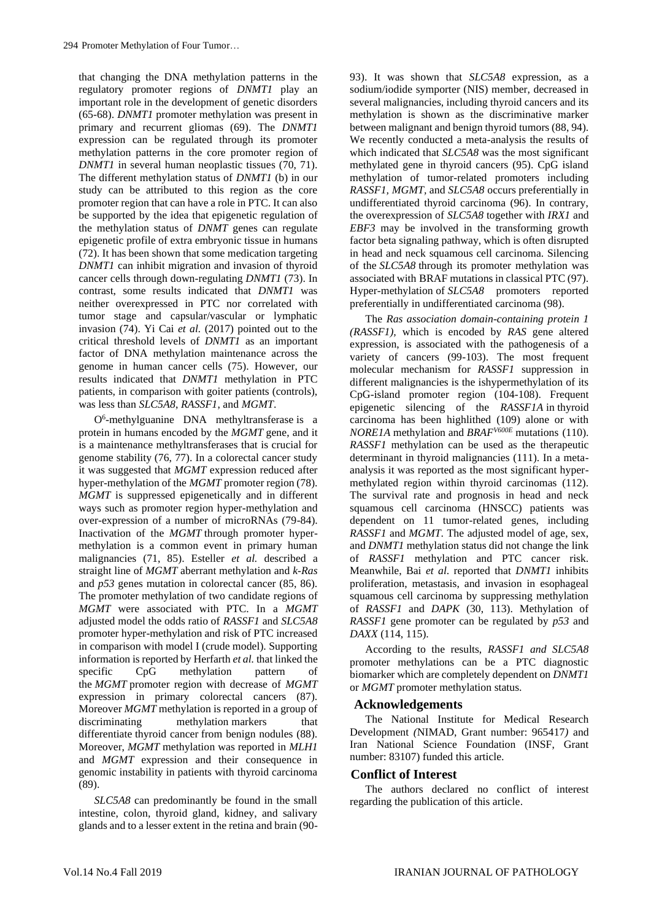that changing the DNA methylation patterns in the regulatory promoter regions of *DNMT1* play an important role in the development of genetic disorders (65-68). *DNMT1* promoter methylation was present in primary and recurrent gliomas (69). The *DNMT1* expression can be regulated through its promoter methylation patterns in the core promoter region of *DNMT1* in several human neoplastic tissues (70, 71). The different methylation status of *DNMT1* (b) in our study can be attributed to this region as the core promoter region that can have a role in PTC. It can also be supported by the idea that epigenetic regulation of the methylation status of *DNMT* genes can regulate epigenetic profile of extra embryonic tissue in humans (72). It has been shown that some medication targeting *DNMT1* can inhibit migration and invasion of thyroid cancer cells through down-regulating *DNMT1* (73). In contrast, some results indicated that *DNMT1* was neither overexpressed in PTC nor correlated with tumor stage and capsular/vascular or lymphatic invasion (74). Yi Cai *et al.* (2017) pointed out to the critical threshold levels of *DNMT1* as an important factor of DNA methylation maintenance across the genome in human cancer cells (75). However, our results indicated that *DNMT1* methylation in PTC patients, in comparison with goiter patients (controls), was less than *SLC5A8*, *RASSF1*, and *MGMT*.

O6 -methylguanine DNA methyltransferase is a protein in humans encoded by the *MGMT* gene, and it is a maintenance methyltransferases that is crucial for genome stability (76, 77). In a colorectal cancer study it was suggested that *MGMT* expression reduced after hyper-methylation of the *MGMT* promoter region (78). *MGMT* is suppressed epigenetically and in different ways such as promoter region hyper-methylation and over-expression of a number of microRNAs (79-84). Inactivation of the *MGMT* through promoter hypermethylation is a common event in primary human malignancies (71, 85). Esteller *et al.* described a straight line of *MGMT* aberrant methylation and *k-Ras* and *p53* genes mutation in colorectal cancer (85, 86). The promoter methylation of two candidate regions of *MGMT* were associated with PTC. In a *MGMT* adjusted model the odds ratio of *RASSF1* and *SLC5A8* promoter hyper-methylation and risk of PTC increased in comparison with model I (crude model). Supporting information is reported by Herfarth *et al.* that linked the specific CpG methylation pattern of the *MGMT* promoter region with decrease of *MGMT* expression in primary colorectal cancers (87). Moreover *MGMT* methylation is reported in a group of discriminating methylation markers that differentiate thyroid cancer from benign nodules (88). Moreover, *MGMT* methylation was reported in *MLH1* and *MGMT* expression and their consequence in genomic instability in patients with thyroid carcinoma (89).

*SLC5A8* can predominantly be found in the small intestine, colon, thyroid gland, kidney, and salivary glands and to a lesser extent in the retina and brain (9093). It was shown that *SLC5A8* expression, as a sodium/iodide symporter (NIS) member, decreased in several malignancies, including thyroid cancers and its methylation is shown as the discriminative marker between malignant and benign thyroid tumors (88, 94). We recently conducted a meta-analysis the results of which indicated that *SLC5A8* was the most significant methylated gene in thyroid cancers (95). CpG island methylation of tumor-related promoters including *RASSF1, MGMT,* and *SLC5A8* occurs preferentially in undifferentiated thyroid carcinoma (96). In contrary, the overexpression of *SLC5A8* together with *IRX1* and *EBF3* may be involved in the transforming growth factor beta signaling pathway, which is often disrupted in head and neck squamous cell carcinoma. Silencing of the *SLC5A8* through its promoter methylation was associated with BRAF mutations in classical PTC (97). Hyper-methylation of *SLC5A8* promoters reported preferentially in undifferentiated carcinoma (98).

The *Ras association domain-containing protein 1 (RASSF1),* which is encoded by *RAS* gene altered expression, is associated with the pathogenesis of a variety of cancers (99-103). The most frequent molecular mechanism for *RASSF1* suppression in different malignancies is the ishypermethylation of its CpG-island promoter region (104-108). Frequent epigenetic silencing of the *RASSF1A* in thyroid carcinoma has been highlithed (109) alone or with *NORE1A* methylation and *BRAFV600E* mutations (110). *RASSF1* methylation can be used as the therapeutic determinant in thyroid malignancies (111). In a metaanalysis it was reported as the most significant hypermethylated region within thyroid carcinomas (112). The survival rate and prognosis in head and neck squamous cell carcinoma (HNSCC) patients was dependent on 11 tumor-related genes, including *RASSF1* and *MGMT*. The adjusted model of age, sex, and *DNMT1* methylation status did not change the link of *RASSF1* methylation and PTC cancer risk. Meanwhile, Bai *et al*. reported that *DNMT1* inhibits proliferation, metastasis, and invasion in esophageal squamous cell carcinoma by suppressing methylation of *RASSF1* and *DAPK* (30, 113). Methylation of *RASSF1* gene promoter can be regulated by *p53* and *DAXX* (114, 115).

According to the results, *RASSF1 and SLC5A8* promoter methylations can be a PTC diagnostic biomarker which are completely dependent on *DNMT1* or *MGMT* promoter methylation status.

## **Acknowledgements**

The National Institute for Medical Research Development *(*NIMAD, Grant number: 965417*)* and Iran National Science Foundation (INSF, Grant number: 83107) funded this article*.*

## **Conflict of Interest**

The authors declared no conflict of interest regarding the publication of this article.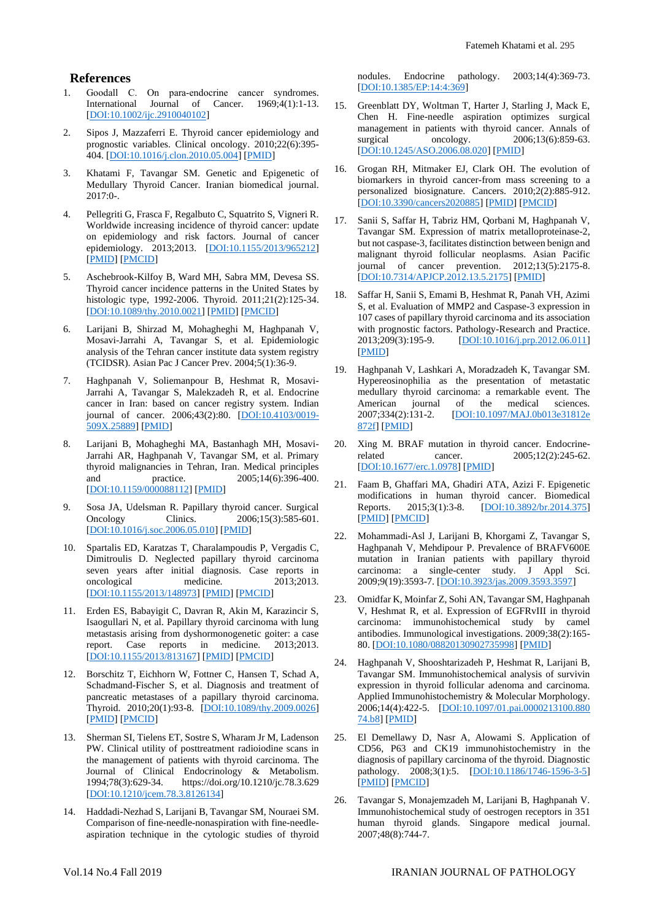#### **References**

- 1. Goodall C. On para-endocrine cancer syndromes.<br>International Journal of Cancer. 1969;4(1):1-13. Journal of Cancer. [\[DOI:10.1002/ijc.2910040102\]](https://doi.org/10.1002/ijc.2910040102)
- 2. Sipos J, Mazzaferri E. Thyroid cancer epidemiology and prognostic variables. Clinical oncology. 2010;22(6):395- 404. [\[DOI:10.1016/j.clon.2010.05.004\]](https://doi.org/10.1016/j.clon.2010.05.004) [\[PMID\]](https://www.ncbi.nlm.nih.gov/pubmed/20627675)
- 3. Khatami F, Tavangar SM. Genetic and Epigenetic of Medullary Thyroid Cancer. Iranian biomedical journal. 2017:0-.
- 4. Pellegriti G, Frasca F, Regalbuto C, Squatrito S, Vigneri R. Worldwide increasing incidence of thyroid cancer: update on epidemiology and risk factors. Journal of cancer epidemiology. 2013;2013. [\[DOI:10.1155/2013/965212\]](https://doi.org/10.1155/2013/965212) [\[PMID\]](https://www.ncbi.nlm.nih.gov/pubmed/23737785) [\[PMCID\]](http://www.ncbi.nlm.nih.gov/pmc/articles/PMC3664492)
- 5. Aschebrook-Kilfoy B, Ward MH, Sabra MM, Devesa SS. Thyroid cancer incidence patterns in the United States by histologic type, 1992-2006. Thyroid. 2011;21(2):125-34. [\[DOI:10.1089/thy.2010.0021\]](https://doi.org/10.1089/thy.2010.0021) [\[PMID\]](https://www.ncbi.nlm.nih.gov/pubmed/21186939) [\[PMCID\]](http://www.ncbi.nlm.nih.gov/pmc/articles/PMC3025182)
- 6. Larijani B, Shirzad M, Mohagheghi M, Haghpanah V, Mosavi-Jarrahi A, Tavangar S, et al. Epidemiologic analysis of the Tehran cancer institute data system registry (TCIDSR). Asian Pac J Cancer Prev. 2004;5(1):36-9.
- 7. Haghpanah V, Soliemanpour B, Heshmat R, Mosavi-Jarrahi A, Tavangar S, Malekzadeh R, et al. Endocrine cancer in Iran: based on cancer registry system. Indian journal of cancer. 2006;43(2):80. [\[DOI:10.4103/0019-](https://doi.org/10.4103/0019-509X.25889) [509X.25889\]](https://doi.org/10.4103/0019-509X.25889) [\[PMID\]](https://www.ncbi.nlm.nih.gov/pubmed/16790945)
- 8. Larijani B, Mohagheghi MA, Bastanhagh MH, Mosavi-Jarrahi AR, Haghpanah V, Tavangar SM, et al. Primary thyroid malignancies in Tehran, Iran. Medical principles and practice.  $2005;14(6):396-400$ . and practice. 2005;14(6):396-400. [\[DOI:10.1159/000088112\]](https://doi.org/10.1159/000088112) [\[PMID\]](https://www.ncbi.nlm.nih.gov/pubmed/16220012)
- 9. Sosa JA, Udelsman R. Papillary thyroid cancer. Surgical Oncology Clinics. 2006;15(3):585-601. [\[DOI:10.1016/j.soc.2006.05.010\]](https://doi.org/10.1016/j.soc.2006.05.010) [\[PMID\]](https://www.ncbi.nlm.nih.gov/pubmed/16882499)
- 10. Spartalis ED, Karatzas T, Charalampoudis P, Vergadis C, Dimitroulis D. Neglected papillary thyroid carcinoma seven years after initial diagnosis. Case reports in oncological medicine. 2013;2013. [\[DOI:10.1155/2013/148973\]](https://doi.org/10.1155/2013/148973) [\[PMID\]](https://www.ncbi.nlm.nih.gov/pubmed/23401818) [\[PMCID\]](http://www.ncbi.nlm.nih.gov/pmc/articles/PMC3557642)
- 11. Erden ES, Babayigit C, Davran R, Akin M, Karazincir S, Isaogullari N, et al. Papillary thyroid carcinoma with lung metastasis arising from dyshormonogenetic goiter: a case report. Case reports in medicine. 2013;2013. [\[DOI:10.1155/2013/813167\]](https://doi.org/10.1155/2013/813167) [\[PMID\]](https://www.ncbi.nlm.nih.gov/pubmed/24307906) [\[PMCID\]](http://www.ncbi.nlm.nih.gov/pmc/articles/PMC3834984)
- 12. Borschitz T, Eichhorn W, Fottner C, Hansen T, Schad A, Schadmand-Fischer S, et al. Diagnosis and treatment of pancreatic metastases of a papillary thyroid carcinoma. Thyroid. 2010;20(1):93-8. [\[DOI:10.1089/thy.2009.0026\]](https://doi.org/10.1089/thy.2009.0026) [\[PMID\]](https://www.ncbi.nlm.nih.gov/pubmed/20025539) [\[PMCID\]](http://www.ncbi.nlm.nih.gov/pmc/articles/PMC2833176)
- 13. Sherman SI, Tielens ET, Sostre S, Wharam Jr M, Ladenson PW. Clinical utility of posttreatment radioiodine scans in the management of patients with thyroid carcinoma. The Journal of Clinical Endocrinology & Metabolism. 1994;78(3):629-34. https://doi.org/10.1210/jc.78.3.629 [\[DOI:10.1210/jcem.78.3.8126134\]](https://doi.org/10.1210/jcem.78.3.8126134)
- 14. Haddadi-Nezhad S, Larijani B, Tavangar SM, Nouraei SM. Comparison of fine-needle-nonaspiration with fine-needleaspiration technique in the cytologic studies of thyroid

nodules. Endocrine pathology. 2003;14(4):369-73. [\[DOI:10.1385/EP:14:4:369\]](https://doi.org/10.1385/EP:14:4:369)

- 15. Greenblatt DY, Woltman T, Harter J, Starling J, Mack E, Chen H. Fine-needle aspiration optimizes surgical management in patients with thyroid cancer. Annals of surgical oncology. 2006;13(6):859-63. [\[DOI:10.1245/ASO.2006.08.020\]](https://doi.org/10.1245/ASO.2006.08.020) [\[PMID\]](https://www.ncbi.nlm.nih.gov/pubmed/16614881)
- 16. Grogan RH, Mitmaker EJ, Clark OH. The evolution of biomarkers in thyroid cancer-from mass screening to a personalized biosignature. Cancers. 2010;2(2):885-912. [\[DOI:10.3390/cancers2020885\]](https://doi.org/10.3390/cancers2020885) [\[PMID\]](https://www.ncbi.nlm.nih.gov/pubmed/24281099) [\[PMCID\]](http://www.ncbi.nlm.nih.gov/pmc/articles/PMC3835110)
- 17. Sanii S, Saffar H, Tabriz HM, Qorbani M, Haghpanah V, Tavangar SM. Expression of matrix metalloproteinase-2, but not caspase-3, facilitates distinction between benign and malignant thyroid follicular neoplasms. Asian Pacific journal of cancer prevention. 2012;13(5):2175-8. [\[DOI:10.7314/APJCP.2012.13.5.2175\]](https://doi.org/10.7314/APJCP.2012.13.5.2175) [\[PMID\]](https://www.ncbi.nlm.nih.gov/pubmed/22901190)
- 18. Saffar H, Sanii S, Emami B, Heshmat R, Panah VH, Azimi S, et al. Evaluation of MMP2 and Caspase-3 expression in 107 cases of papillary thyroid carcinoma and its association with prognostic factors. Pathology-Research and Practice.<br>2013;209(3):195-9. [DOI:10.1016/j.prp.2012.06.011] [\[DOI:10.1016/j.prp.2012.06.011\]](https://doi.org/10.1016/j.prp.2012.06.011) [\[PMID\]](https://www.ncbi.nlm.nih.gov/pubmed/23384723)
- 19. Haghpanah V, Lashkari A, Moradzadeh K, Tavangar SM. Hypereosinophilia as the presentation of metastatic medullary thyroid carcinoma: a remarkable event. The American journal of the medical sciences.<br>2007:334(2):131-2. [DOI:10.1097/MAJ.0b013e31812e [\[DOI:10.1097/MAJ.0b013e31812e](https://doi.org/10.1097/MAJ.0b013e31812e872f) [872f\]](https://doi.org/10.1097/MAJ.0b013e31812e872f) [\[PMID\]](https://www.ncbi.nlm.nih.gov/pubmed/17700204)
- 20. Xing M. BRAF mutation in thyroid cancer. Endocrinerelated cancer. 2005;12(2):245-62. [\[DOI:10.1677/erc.1.0978\]](https://doi.org/10.1677/erc.1.0978) [\[PMID\]](https://www.ncbi.nlm.nih.gov/pubmed/15947100)
- 21. Faam B, Ghaffari MA, Ghadiri ATA, Azizi F. Epigenetic modifications in human thyroid cancer. Biomedical<br>Reports. 2015;3(1):3-8. [DOI:10.3892/br.2014.375] Reports. 2015;3(1):3-8. [\[DOI:10.3892/br.2014.375\]](https://doi.org/10.3892/br.2014.375) [\[PMID\]](https://www.ncbi.nlm.nih.gov/pubmed/25469237) [\[PMCID\]](http://www.ncbi.nlm.nih.gov/pmc/articles/PMC4251143)
- 22. Mohammadi-Asl J, Larijani B, Khorgami Z, Tavangar S, Haghpanah V, Mehdipour P. Prevalence of BRAFV600E mutation in Iranian patients with papillary thyroid carcinoma: a single-center study. J Appl Sci. 2009;9(19):3593-7. [\[DOI:10.3923/jas.2009.3593.3597\]](https://doi.org/10.3923/jas.2009.3593.3597)
- 23. Omidfar K, Moinfar Z, Sohi AN, Tavangar SM, Haghpanah V, Heshmat R, et al. Expression of EGFRvIII in thyroid carcinoma: immunohistochemical study by camel antibodies. Immunological investigations. 2009;38(2):165- 80. [\[DOI:10.1080/08820130902735998\]](https://doi.org/10.1080/08820130902735998) [\[PMID\]](https://www.ncbi.nlm.nih.gov/pubmed/19330625)
- 24. Haghpanah V, Shooshtarizadeh P, Heshmat R, Larijani B, Tavangar SM. Immunohistochemical analysis of survivin expression in thyroid follicular adenoma and carcinoma. Applied Immunohistochemistry & Molecular Morphology. 2006;14(4):422-5. [\[DOI:10.1097/01.pai.0000213100.880](https://doi.org/10.1097/01.pai.0000213100.88074.b8) [74.b8\]](https://doi.org/10.1097/01.pai.0000213100.88074.b8) [\[PMID\]](https://www.ncbi.nlm.nih.gov/pubmed/17122639)
- 25. El Demellawy D, Nasr A, Alowami S. Application of CD56, P63 and CK19 immunohistochemistry in the diagnosis of papillary carcinoma of the thyroid. Diagnostic pathology. 2008;3(1):5. [\[DOI:10.1186/1746-1596-3-5\]](https://doi.org/10.1186/1746-1596-3-5) [\[PMID\]](https://www.ncbi.nlm.nih.gov/pubmed/18254952) [\[PMCID\]](http://www.ncbi.nlm.nih.gov/pmc/articles/PMC2267445)
- 26. Tavangar S, Monajemzadeh M, Larijani B, Haghpanah V. Immunohistochemical study of oestrogen receptors in 351 human thyroid glands. Singapore medical journal. 2007;48(8):744-7.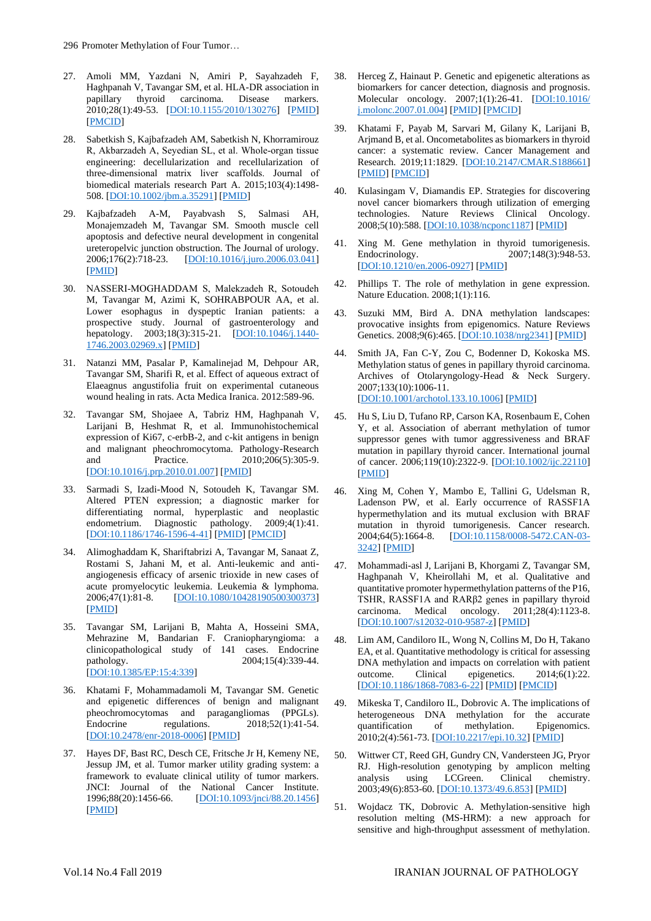- 27. Amoli MM, Yazdani N, Amiri P, Sayahzadeh F, Haghpanah V, Tavangar SM, et al. HLA-DR association in papillary thyroid carcinoma. Disease markers. 2010;28(1):49-53. [\[DOI:10.1155/2010/130276\]](https://doi.org/10.1155/2010/130276) [\[PMID\]](https://www.ncbi.nlm.nih.gov/pubmed/20164547) [\[PMCID\]](http://www.ncbi.nlm.nih.gov/pmc/articles/PMC3833609)
- 28. Sabetkish S, Kajbafzadeh AM, Sabetkish N, Khorramirouz R, Akbarzadeh A, Seyedian SL, et al. Whole‐organ tissue engineering: decellularization and recellularization of three‐dimensional matrix liver scaffolds. Journal of biomedical materials research Part A. 2015;103(4):1498- 508. [\[DOI:10.1002/jbm.a.35291\]](https://doi.org/10.1002/jbm.a.35291) [\[PMID\]](https://www.ncbi.nlm.nih.gov/pubmed/25045886)
- 29. Kajbafzadeh A-M, Payabvash S, Salmasi AH, Monajemzadeh M, Tavangar SM. Smooth muscle cell apoptosis and defective neural development in congenital ureteropelvic junction obstruction. The Journal of urology. 2006;176(2):718-23. [\[DOI:10.1016/j.juro.2006.03.041\]](https://doi.org/10.1016/j.juro.2006.03.041) [\[PMID\]](https://www.ncbi.nlm.nih.gov/pubmed/16813927)
- 30. NASSERI‐MOGHADDAM S, Malekzadeh R, Sotoudeh M, Tavangar M, Azimi K, SOHRABPOUR AA, et al. Lower esophagus in dyspeptic Iranian patients: a prospective study. Journal of gastroenterology and hepatology. 2003;18(3):315-21. [\[DOI:10.1046/j.1440-](https://doi.org/10.1046/j.1440-1746.2003.02969.x) [1746.2003.02969.x\]](https://doi.org/10.1046/j.1440-1746.2003.02969.x) [\[PMID\]](https://www.ncbi.nlm.nih.gov/pubmed/12603533)
- 31. Natanzi MM, Pasalar P, Kamalinejad M, Dehpour AR, Tavangar SM, Sharifi R, et al. Effect of aqueous extract of Elaeagnus angustifolia fruit on experimental cutaneous wound healing in rats. Acta Medica Iranica. 2012:589-96.
- 32. Tavangar SM, Shojaee A, Tabriz HM, Haghpanah V, Larijani B, Heshmat R, et al. Immunohistochemical expression of Ki67, c-erbB-2, and c-kit antigens in benign and malignant pheochromocytoma. Pathology-Research and Practice. 2010;206(5):305-9. [\[DOI:10.1016/j.prp.2010.01.007\]](https://doi.org/10.1016/j.prp.2010.01.007) [\[PMID\]](https://www.ncbi.nlm.nih.gov/pubmed/20189725)
- 33. Sarmadi S, Izadi-Mood N, Sotoudeh K, Tavangar SM. Altered PTEN expression; a diagnostic marker for differentiating normal, hyperplastic and neoplastic endometrium. Diagnostic pathology. 2009:4(1):41. Diagnostic pathology. 2009;4(1):41. [\[DOI:10.1186/1746-1596-4-41\]](https://doi.org/10.1186/1746-1596-4-41) [\[PMID\]](https://www.ncbi.nlm.nih.gov/pubmed/19930726) [\[PMCID\]](http://www.ncbi.nlm.nih.gov/pmc/articles/PMC2789036)
- 34. Alimoghaddam K, Shariftabrizi A, Tavangar M, Sanaat Z, Rostami S, Jahani M, et al. Anti-leukemic and antiangiogenesis efficacy of arsenic trioxide in new cases of acute promyelocytic leukemia. Leukemia & lymphoma. 2006;47(1):81-8. [\[DOI:10.1080/10428190500300373\]](https://doi.org/10.1080/10428190500300373) [\[PMID\]](https://www.ncbi.nlm.nih.gov/pubmed/16321832)
- 35. Tavangar SM, Larijani B, Mahta A, Hosseini SMA, Mehrazine M, Bandarian F. Craniopharyngioma: a clinicopathological study of 141 cases. Endocrine pathology. 2004;15(4):339-44. [\[DOI:10.1385/EP:15:4:339\]](https://doi.org/10.1385/EP:15:4:339)
- 36. Khatami F, Mohammadamoli M, Tavangar SM. Genetic and epigenetic differences of benign and malignant pheochromocytomas and paragangliomas (PPGLs). Endocrine regulations. 2018;52(1):41-54. [\[DOI:10.2478/enr-2018-0006\]](https://doi.org/10.2478/enr-2018-0006) [\[PMID\]](https://www.ncbi.nlm.nih.gov/pubmed/29453919)
- 37. Hayes DF, Bast RC, Desch CE, Fritsche Jr H, Kemeny NE, Jessup JM, et al. Tumor marker utility grading system: a framework to evaluate clinical utility of tumor markers. JNCI: Journal of the National Cancer Institute. 1996;88(20):1456-66. [\[DOI:10.1093/jnci/88.20.1456\]](https://doi.org/10.1093/jnci/88.20.1456) [\[PMID\]](https://www.ncbi.nlm.nih.gov/pubmed/8841020)
- 38. Herceg Z, Hainaut P. Genetic and epigenetic alterations as biomarkers for cancer detection, diagnosis and prognosis. Molecular oncology. 2007;1(1):26-41. [\[DOI:10.1016/](https://doi.org/10.1016/j.molonc.2007.01.004) [j.molonc.2007.01.004\]](https://doi.org/10.1016/j.molonc.2007.01.004) [\[PMID\]](https://www.ncbi.nlm.nih.gov/pubmed/19383285) [\[PMCID\]](http://www.ncbi.nlm.nih.gov/pmc/articles/PMC5543860)
- 39. Khatami F, Payab M, Sarvari M, Gilany K, Larijani B, Arjmand B, et al. Oncometabolites as biomarkers in thyroid cancer: a systematic review. Cancer Management and Research. 2019;11:1829. [\[DOI:10.2147/CMAR.S188661\]](https://doi.org/10.2147/CMAR.S188661) [\[PMID\]](https://www.ncbi.nlm.nih.gov/pubmed/30881111) [\[PMCID\]](http://www.ncbi.nlm.nih.gov/pmc/articles/PMC6395057)
- 40. Kulasingam V, Diamandis EP. Strategies for discovering novel cancer biomarkers through utilization of emerging technologies. Nature Reviews Clinical Oncology. 2008;5(10):588. [\[DOI:10.1038/ncponc1187\]](https://doi.org/10.1038/ncponc1187) [\[PMID\]](https://www.ncbi.nlm.nih.gov/pubmed/18695711)
- 41. Xing M. Gene methylation in thyroid tumorigenesis. Endocrinology. 2007;148(3):948-53. [\[DOI:10.1210/en.2006-0927\]](https://doi.org/10.1210/en.2006-0927) [\[PMID\]](https://www.ncbi.nlm.nih.gov/pubmed/16946009)
- 42. Phillips T. The role of methylation in gene expression. Nature Education. 2008;1(1):116.
- 43. Suzuki MM, Bird A. DNA methylation landscapes: provocative insights from epigenomics. Nature Reviews Genetics. 2008;9(6):465. [\[DOI:10.1038/nrg2341\]](https://doi.org/10.1038/nrg2341) [\[PMID\]](https://www.ncbi.nlm.nih.gov/pubmed/18463664)
- 44. Smith JA, Fan C-Y, Zou C, Bodenner D, Kokoska MS. Methylation status of genes in papillary thyroid carcinoma. Archives of Otolaryngology-Head & Neck Surgery. 2007;133(10):1006-11. [\[DOI:10.1001/archotol.133.10.1006\]](https://doi.org/10.1001/archotol.133.10.1006) [\[PMID\]](https://www.ncbi.nlm.nih.gov/pubmed/17938324)
- 45. Hu S, Liu D, Tufano RP, Carson KA, Rosenbaum E, Cohen Y, et al. Association of aberrant methylation of tumor suppressor genes with tumor aggressiveness and BRAF mutation in papillary thyroid cancer. International journal of cancer. 2006;119(10):2322-9. [\[DOI:10.1002/ijc.22110\]](https://doi.org/10.1002/ijc.22110) [\[PMID\]](https://www.ncbi.nlm.nih.gov/pubmed/16858683)
- 46. Xing M, Cohen Y, Mambo E, Tallini G, Udelsman R, Ladenson PW, et al. Early occurrence of RASSF1A hypermethylation and its mutual exclusion with BRAF mutation in thyroid tumorigenesis. Cancer research. 2004;64(5):1664-8. [\[DOI:10.1158/0008-5472.CAN-03-](https://doi.org/10.1158/0008-5472.CAN-03-3242) [3242\]](https://doi.org/10.1158/0008-5472.CAN-03-3242) [\[PMID\]](https://www.ncbi.nlm.nih.gov/pubmed/14996725)
- 47. Mohammadi-asl J, Larijani B, Khorgami Z, Tavangar SM, Haghpanah V, Kheirollahi M, et al. Qualitative and quantitative promoter hypermethylation patterns of the P16, TSHR, RASSF1A and RARβ2 genes in papillary thyroid carcinoma. Medical oncology. 2011;28(4):1123-8. [\[DOI:10.1007/s12032-010-9587-z\]](https://doi.org/10.1007/s12032-010-9587-z) [\[PMID\]](https://www.ncbi.nlm.nih.gov/pubmed/20535589)
- 48. Lim AM, Candiloro IL, Wong N, Collins M, Do H, Takano EA, et al. Quantitative methodology is critical for assessing DNA methylation and impacts on correlation with patient outcome. Clinical epigenetics. 2014;6(1):22. [\[DOI:10.1186/1868-7083-6-22\]](https://doi.org/10.1186/1868-7083-6-22) [\[PMID\]](https://www.ncbi.nlm.nih.gov/pubmed/25859283) [\[PMCID\]](http://www.ncbi.nlm.nih.gov/pmc/articles/PMC4391486)
- 49. Mikeska T, Candiloro IL, Dobrovic A. The implications of heterogeneous DNA methylation for the accurate quantification of methylation. Epigenomics. 2010;2(4):561-73. [\[DOI:10.2217/epi.10.32\]](https://doi.org/10.2217/epi.10.32) [\[PMID\]](https://www.ncbi.nlm.nih.gov/pubmed/22121974)
- 50. Wittwer CT, Reed GH, Gundry CN, Vandersteen JG, Pryor RJ. High-resolution genotyping by amplicon melting<br>analysis using LCGreen. Clinical chemistry. analysis using LCGreen. Clinical chemistry. 2003;49(6):853-60. [\[DOI:10.1373/49.6.853\]](https://doi.org/10.1373/49.6.853) [\[PMID\]](https://www.ncbi.nlm.nih.gov/pubmed/12765979)
- 51. Wojdacz TK, Dobrovic A. Methylation-sensitive high resolution melting (MS-HRM): a new approach for sensitive and high-throughput assessment of methylation.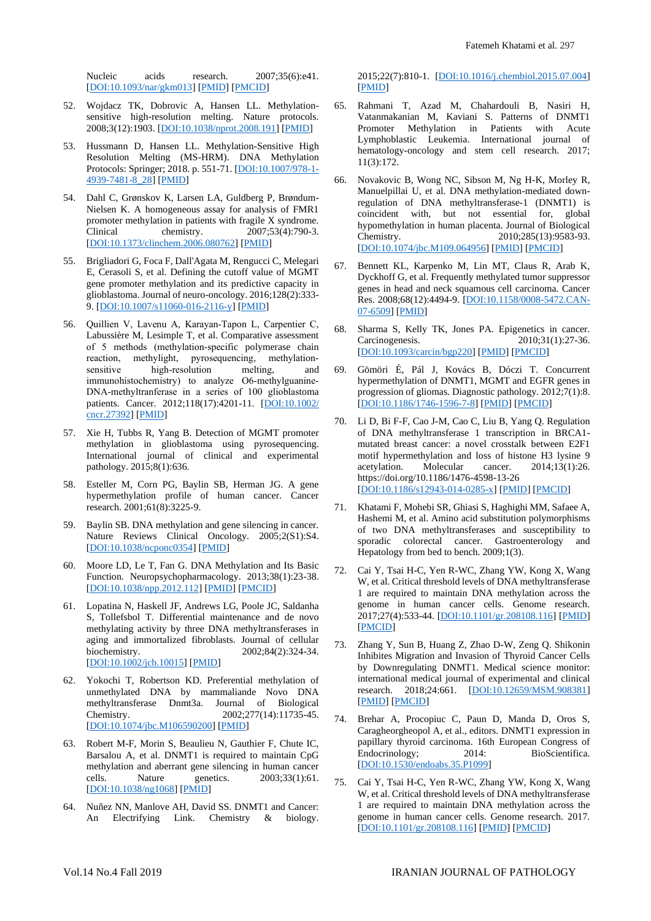Nucleic acids research.  $2007;35(6):e41$ . [\[DOI:10.1093/nar/gkm013\]](https://doi.org/10.1093/nar/gkm013) [\[PMID\]](https://www.ncbi.nlm.nih.gov/pubmed/17289753) [\[PMCID\]](http://www.ncbi.nlm.nih.gov/pmc/articles/PMC1874596)

- 52. Wojdacz TK, Dobrovic A, Hansen LL. Methylationsensitive high-resolution melting. Nature protocols. 2008;3(12):1903. [\[DOI:10.1038/nprot.2008.191\]](https://doi.org/10.1038/nprot.2008.191) [\[PMID\]](https://www.ncbi.nlm.nih.gov/pubmed/19180074)
- 53. Hussmann D, Hansen LL. Methylation-Sensitive High Resolution Melting (MS-HRM). DNA Methylation Protocols: Springer; 2018. p. 551-71. [\[DOI:10.1007/978-1-](https://doi.org/10.1007/978-1-4939-7481-8_28) [4939-7481-8\\_28\]](https://doi.org/10.1007/978-1-4939-7481-8_28) [\[PMID\]](https://www.ncbi.nlm.nih.gov/pubmed/29224163)
- 54. Dahl C, Grønskov K, Larsen LA, Guldberg P, Brøndum-Nielsen K. A homogeneous assay for analysis of FMR1 promoter methylation in patients with fragile X syndrome. Clinical chemistry. 2007;53(4):790-3. [\[DOI:10.1373/clinchem.2006.080762\]](https://doi.org/10.1373/clinchem.2006.080762) [\[PMID\]](https://www.ncbi.nlm.nih.gov/pubmed/17259243)
- 55. Brigliadori G, Foca F, Dall'Agata M, Rengucci C, Melegari E, Cerasoli S, et al. Defining the cutoff value of MGMT gene promoter methylation and its predictive capacity in glioblastoma. Journal of neuro-oncology. 2016;128(2):333- 9. [\[DOI:10.1007/s11060-016-2116-y\]](https://doi.org/10.1007/s11060-016-2116-y) [\[PMID\]](https://www.ncbi.nlm.nih.gov/pubmed/27029617)
- 56. Quillien V, Lavenu A, Karayan‐Tapon L, Carpentier C, Labussière M, Lesimple T, et al. Comparative assessment of 5 methods (methylation‐specific polymerase chain reaction, methylight, pyrosequencing, methylationsensitive high-resolution melting, and immunohistochemistry) to analyze O6-methylguanine-DNA‐methyltranferase in a series of 100 glioblastoma patients. Cancer. 2012;118(17):4201-11. [\[DOI:10.1002/](https://doi.org/10.1002/cncr.27392) [cncr.27392\]](https://doi.org/10.1002/cncr.27392) [\[PMID\]](https://www.ncbi.nlm.nih.gov/pubmed/22294349)
- 57. Xie H, Tubbs R, Yang B. Detection of MGMT promoter methylation in glioblastoma using pyrosequencing. International journal of clinical and experimental pathology. 2015;8(1):636.
- 58. Esteller M, Corn PG, Baylin SB, Herman JG. A gene hypermethylation profile of human cancer. Cancer research. 2001;61(8):3225-9.
- 59. Baylin SB. DNA methylation and gene silencing in cancer. Nature Reviews Clinical Oncology. 2005;2(S1):S4. [\[DOI:10.1038/ncponc0354\]](https://doi.org/10.1038/ncponc0354) [\[PMID\]](https://www.ncbi.nlm.nih.gov/pubmed/16341240)
- 60. Moore LD, Le T, Fan G. DNA Methylation and Its Basic Function. Neuropsychopharmacology. 2013;38(1):23-38. [\[DOI:10.1038/npp.2012.112\]](https://doi.org/10.1038/npp.2012.112) [\[PMID\]](https://www.ncbi.nlm.nih.gov/pubmed/22781841) [\[PMCID\]](http://www.ncbi.nlm.nih.gov/pmc/articles/PMC3521964)
- 61. Lopatina N, Haskell JF, Andrews LG, Poole JC, Saldanha S, Tollefsbol T. Differential maintenance and de novo methylating activity by three DNA methyltransferases in aging and immortalized fibroblasts. Journal of cellular biochemistry. 2002;84(2):324-34. biochemistry. 2002;84(2):324-34. [\[DOI:10.1002/jcb.10015\]](https://doi.org/10.1002/jcb.10015) [\[PMID\]](https://www.ncbi.nlm.nih.gov/pubmed/11787061)
- 62. Yokochi T, Robertson KD. Preferential methylation of unmethylated DNA by mammaliande Novo DNA methyltransferase Dnmt3a. Journal of Biological Chemistry. 2002;277(14):11735-45. [\[DOI:10.1074/jbc.M106590200\]](https://doi.org/10.1074/jbc.M106590200) [\[PMID\]](https://www.ncbi.nlm.nih.gov/pubmed/11821381)
- 63. Robert M-F, Morin S, Beaulieu N, Gauthier F, Chute IC, Barsalou A, et al. DNMT1 is required to maintain CpG methylation and aberrant gene silencing in human cancer cells. Nature genetics. 2003;33(1):61. [\[DOI:10.1038/ng1068\]](https://doi.org/10.1038/ng1068) [\[PMID\]](https://www.ncbi.nlm.nih.gov/pubmed/12496760)
- 64. Nuñez NN, Manlove AH, David SS. DNMT1 and Cancer: An Electrifying Link. Chemistry & biology.

2015;22(7):810-1. [\[DOI:10.1016/j.chembiol.2015.07.004\]](https://doi.org/10.1016/j.chembiol.2015.07.004) [\[PMID\]](https://www.ncbi.nlm.nih.gov/pubmed/26207295)

- 65. Rahmani T, Azad M, Chahardouli B, Nasiri H, Vatanmakanian M, Kaviani S. Patterns of DNMT1 Promoter Methylation in Patients with Acute Lymphoblastic Leukemia. International journal of hematology-oncology and stem cell research. 2017; 11(3):172.
- 66. Novakovic B, Wong NC, Sibson M, Ng H-K, Morley R, Manuelpillai U, et al. DNA methylation-mediated downregulation of DNA methyltransferase-1 (DNMT1) is coincident with, but not essential for, global hypomethylation in human placenta. Journal of Biological Chemistry. 2010;285(13):9583-93. [DOI: 10.1074/jbc.M109.064956] [\[PMID\]](https://www.ncbi.nlm.nih.gov/pubmed/20071334) [\[PMCID\]](http://www.ncbi.nlm.nih.gov/pmc/articles/PMC2843208)
- 67. Bennett KL, Karpenko M, Lin MT, Claus R, Arab K, Dyckhoff G, et al. Frequently methylated tumor suppressor genes in head and neck squamous cell carcinoma. Cancer Res. 2008;68(12):4494-9. [\[DOI:10.1158/0008-5472.CAN-](https://doi.org/10.1158/0008-5472.CAN-07-6509)[07-6509\]](https://doi.org/10.1158/0008-5472.CAN-07-6509) [\[PMID\]](https://www.ncbi.nlm.nih.gov/pubmed/18559491)
- 68. Sharma S, Kelly TK, Jones PA. Epigenetics in cancer. Carcinogenesis. 2010;31(1):27-36. [\[DOI:10.1093/carcin/bgp220\]](https://doi.org/10.1093/carcin/bgp220) [\[PMID\]](https://www.ncbi.nlm.nih.gov/pubmed/19752007) [\[PMCID\]](http://www.ncbi.nlm.nih.gov/pmc/articles/PMC2802667)
- 69. Gömöri É, Pál J, Kovács B, Dóczi T. Concurrent hypermethylation of DNMT1, MGMT and EGFR genes in progression of gliomas. Diagnostic pathology. 2012;7(1):8. [\[DOI:10.1186/1746-1596-7-8\]](https://doi.org/10.1186/1746-1596-7-8) [\[PMID\]](https://www.ncbi.nlm.nih.gov/pubmed/22264301) [\[PMCID\]](http://www.ncbi.nlm.nih.gov/pmc/articles/PMC3292961)
- 70. Li D, Bi F-F, Cao J-M, Cao C, Liu B, Yang Q. Regulation of DNA methyltransferase 1 transcription in BRCA1 mutated breast cancer: a novel crosstalk between E2F1 motif hypermethylation and loss of histone H3 lysine 9 acetylation. Molecular cancer. 2014;13(1):26. https://doi.org/10.1186/1476-4598-13-26 [\[DOI:10.1186/s12943-014-0285-x\]](https://doi.org/10.1186/s12943-014-0285-x) [\[PMID\]](https://www.ncbi.nlm.nih.gov/pubmed/24502362) [\[PMCID\]](http://www.ncbi.nlm.nih.gov/pmc/articles/PMC3936805)
- 71. Khatami F, Mohebi SR, Ghiasi S, Haghighi MM, Safaee A, Hashemi M, et al. Amino acid substitution polymorphisms of two DNA methyltransferases and susceptibility to sporadic colorectal cancer. Gastroenterology and Hepatology from bed to bench. 2009;1(3).
- 72. Cai Y, Tsai H-C, Yen R-WC, Zhang YW, Kong X, Wang W, et al. Critical threshold levels of DNA methyltransferase 1 are required to maintain DNA methylation across the genome in human cancer cells. Genome research. 2017;27(4):533-44. [\[DOI:10.1101/gr.208108.116\]](https://doi.org/10.1101/gr.208108.116) [\[PMID\]](https://www.ncbi.nlm.nih.gov/pubmed/28232479) [\[PMCID\]](http://www.ncbi.nlm.nih.gov/pmc/articles/PMC5378172)
- 73. Zhang Y, Sun B, Huang Z, Zhao D-W, Zeng Q. Shikonin Inhibites Migration and Invasion of Thyroid Cancer Cells by Downregulating DNMT1. Medical science monitor: international medical journal of experimental and clinical research. 2018;24:661. [\[DOI:10.12659/MSM.908381\]](https://doi.org/10.12659/MSM.908381) [\[PMID\]](https://www.ncbi.nlm.nih.gov/pubmed/29389913) [\[PMCID\]](http://www.ncbi.nlm.nih.gov/pmc/articles/PMC5804303)
- 74. Brehar A, Procopiuc C, Paun D, Manda D, Oros S, Caragheorgheopol A, et al., editors. DNMT1 expression in papillary thyroid carcinoma. 16th European Congress of Endocrinology; 2014: [\[DOI:10.1530/endoabs.35.P1099\]](https://doi.org/10.1530/endoabs.35.P1099)
- 75. Cai Y, Tsai H-C, Yen R-WC, Zhang YW, Kong X, Wang W, et al. Critical threshold levels of DNA methyltransferase 1 are required to maintain DNA methylation across the genome in human cancer cells. Genome research. 2017. [\[DOI:10.1101/gr.208108.116\]](https://doi.org/10.1101/gr.208108.116) [\[PMID\]](https://www.ncbi.nlm.nih.gov/pubmed/28232479) [\[PMCID\]](http://www.ncbi.nlm.nih.gov/pmc/articles/PMC5378172)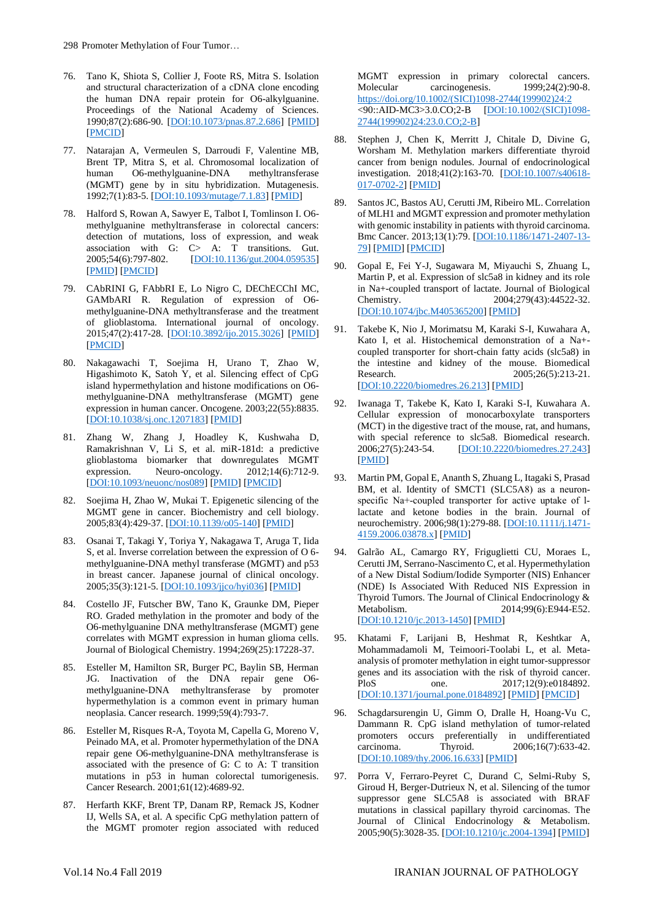- 76. Tano K, Shiota S, Collier J, Foote RS, Mitra S. Isolation and structural characterization of a cDNA clone encoding the human DNA repair protein for O6-alkylguanine. Proceedings of the National Academy of Sciences. 1990;87(2):686-90. [\[DOI:10.1073/pnas.87.2.686\]](https://doi.org/10.1073/pnas.87.2.686) [\[PMID\]](https://www.ncbi.nlm.nih.gov/pubmed/2405387) [\[PMCID\]](http://www.ncbi.nlm.nih.gov/pmc/articles/PMC53330)
- 77. Natarajan A, Vermeulen S, Darroudi F, Valentine MB, Brent TP, Mitra S, et al. Chromosomal localization of human O6-methylguanine-DNA methyltransferase O6-methylguanine-DNA (MGMT) gene by in situ hybridization. Mutagenesis. 1992;7(1):83-5. [\[DOI:10.1093/mutage/7.1.83\]](https://doi.org/10.1093/mutage/7.1.83) [\[PMID\]](https://www.ncbi.nlm.nih.gov/pubmed/1635460)
- 78. Halford S, Rowan A, Sawyer E, Talbot I, Tomlinson I. O6 methylguanine methyltransferase in colorectal cancers: detection of mutations, loss of expression, and weak association with G: C> A: T transitions. Gut.<br>2005;54(6):797-802. [DOI:10.1136/gut.2004.059535] [\[DOI:10.1136/gut.2004.059535\]](https://doi.org/10.1136/gut.2004.059535) [\[PMID\]](https://www.ncbi.nlm.nih.gov/pubmed/15888787) [\[PMCID\]](http://www.ncbi.nlm.nih.gov/pmc/articles/PMC1774551)
- 79. CAbRINI G, FAbbRI E, Lo Nigro C, DEChECChI MC, GAMbARI R. Regulation of expression of O6 methylguanine-DNA methyltransferase and the treatment of glioblastoma. International journal of oncology. 2015;47(2):417-28. [\[DOI:10.3892/ijo.2015.3026\]](https://doi.org/10.3892/ijo.2015.3026) [\[PMID\]](https://www.ncbi.nlm.nih.gov/pubmed/26035292) [\[PMCID\]](http://www.ncbi.nlm.nih.gov/pmc/articles/PMC4501657)
- 80. Nakagawachi T, Soejima H, Urano T, Zhao W, Higashimoto K, Satoh Y, et al. Silencing effect of CpG island hypermethylation and histone modifications on O6 methylguanine-DNA methyltransferase (MGMT) gene expression in human cancer. Oncogene. 2003;22(55):8835. [\[DOI:10.1038/sj.onc.1207183\]](https://doi.org/10.1038/sj.onc.1207183) [\[PMID\]](https://www.ncbi.nlm.nih.gov/pubmed/14647440)
- 81. Zhang W, Zhang J, Hoadley K, Kushwaha D, Ramakrishnan V, Li S, et al. miR-181d: a predictive glioblastoma biomarker that downregulates MGMT expression. Neuro-oncology.  $2012;14(6):712-9$ . [\[DOI:10.1093/neuonc/nos089\]](https://doi.org/10.1093/neuonc/nos089) [\[PMID\]](https://www.ncbi.nlm.nih.gov/pubmed/22570426) [\[PMCID\]](http://www.ncbi.nlm.nih.gov/pmc/articles/PMC3367855)
- 82. Soejima H, Zhao W, Mukai T. Epigenetic silencing of the MGMT gene in cancer. Biochemistry and cell biology. 2005;83(4):429-37. [\[DOI:10.1139/o05-140\]](https://doi.org/10.1139/o05-140) [\[PMID\]](https://www.ncbi.nlm.nih.gov/pubmed/16094446)
- 83. Osanai T, Takagi Y, Toriya Y, Nakagawa T, Aruga T, Iida S, et al. Inverse correlation between the expression of O 6 methylguanine-DNA methyl transferase (MGMT) and p53 in breast cancer. Japanese journal of clinical oncology. 2005;35(3):121-5. [\[DOI:10.1093/jjco/hyi036\]](https://doi.org/10.1093/jjco/hyi036) [\[PMID\]](https://www.ncbi.nlm.nih.gov/pubmed/15741301)
- 84. Costello JF, Futscher BW, Tano K, Graunke DM, Pieper RO. Graded methylation in the promoter and body of the O6-methylguanine DNA methyltransferase (MGMT) gene correlates with MGMT expression in human glioma cells. Journal of Biological Chemistry. 1994;269(25):17228-37.
- 85. Esteller M, Hamilton SR, Burger PC, Baylin SB, Herman JG. Inactivation of the DNA repair gene O6 methylguanine-DNA methyltransferase by promoter hypermethylation is a common event in primary human neoplasia. Cancer research. 1999;59(4):793-7.
- 86. Esteller M, Risques R-A, Toyota M, Capella G, Moreno V, Peinado MA, et al. Promoter hypermethylation of the DNA repair gene O6-methylguanine-DNA methyltransferase is associated with the presence of G: C to A: T transition mutations in p53 in human colorectal tumorigenesis. Cancer Research. 2001;61(12):4689-92.
- 87. Herfarth KKF, Brent TP, Danam RP, Remack JS, Kodner IJ, Wells SA, et al. A specific CpG methylation pattern of the MGMT promoter region associated with reduced

MGMT expression in primary colorectal cancers. Molecular carcinogenesis. 1999;24(2):90-8. [https://doi.org/10.1002/\(SICI\)1098-2744\(199902\)24:2](https://doi.org/10.1002/(SICI)1098-2744(199902)24:2)<br><90::AID-MC3>3.0.CO;2-B [DOI:10.1002/(SICI)1098-<90::AID-MC3>3.0.CO;2-B [2744\(199902\)24:23.0.CO;2-B\]](https://doi.org/10.1002/(SICI)1098-2744(199902)24:23.0.CO;2-B)

- 88. Stephen J, Chen K, Merritt J, Chitale D, Divine G, Worsham M. Methylation markers differentiate thyroid cancer from benign nodules. Journal of endocrinological investigation. 2018;41(2):163-70. [\[DOI:10.1007/s40618-](https://doi.org/10.1007/s40618-017-0702-2) [017-0702-2\]](https://doi.org/10.1007/s40618-017-0702-2) [\[PMID\]](https://www.ncbi.nlm.nih.gov/pubmed/28612287)
- 89. Santos JC, Bastos AU, Cerutti JM, Ribeiro ML. Correlation of MLH1 and MGMT expression and promoter methylation with genomic instability in patients with thyroid carcinoma. Bmc Cancer. 2013;13(1):79. [\[DOI:10.1186/1471-2407-13-](https://doi.org/10.1186/1471-2407-13-79) [79\]](https://doi.org/10.1186/1471-2407-13-79) [\[PMID\]](https://www.ncbi.nlm.nih.gov/pubmed/23414134) [\[PMCID\]](http://www.ncbi.nlm.nih.gov/pmc/articles/PMC3583824)
- 90. Gopal E, Fei Y-J, Sugawara M, Miyauchi S, Zhuang L, Martin P, et al. Expression of slc5a8 in kidney and its role in Na+-coupled transport of lactate. Journal of Biological Chemistry. 2004;279(43):44522-32. [\[DOI:10.1074/jbc.M405365200\]](https://doi.org/10.1074/jbc.M405365200) [\[PMID\]](https://www.ncbi.nlm.nih.gov/pubmed/15322102)
- 91. Takebe K, Nio J, Morimatsu M, Karaki S-I, Kuwahara A, Kato I, et al. Histochemical demonstration of a Na+ coupled transporter for short-chain fatty acids (slc5a8) in the intestine and kidney of the mouse. Biomedical Research. 2005;26(5):213-21. [\[DOI:10.2220/biomedres.26.213\]](https://doi.org/10.2220/biomedres.26.213) [\[PMID\]](https://www.ncbi.nlm.nih.gov/pubmed/16295698)
- 92. Iwanaga T, Takebe K, Kato I, Karaki S-I, Kuwahara A. Cellular expression of monocarboxylate transporters (MCT) in the digestive tract of the mouse, rat, and humans, with special reference to slc5a8. Biomedical research.<br>2006;27(5):243-54. [DOI:10.2220/biomedres.27.243] [\[DOI:10.2220/biomedres.27.243\]](https://doi.org/10.2220/biomedres.27.243) [\[PMID\]](https://www.ncbi.nlm.nih.gov/pubmed/17099289)
- 93. Martin PM, Gopal E, Ananth S, Zhuang L, Itagaki S, Prasad BM, et al. Identity of SMCT1 (SLC5A8) as a neuronspecific Na+-coupled transporter for active uptake of 1lactate and ketone bodies in the brain. Journal of neurochemistry. 2006;98(1):279-88. [\[DOI:10.1111/j.1471-](https://doi.org/10.1111/j.1471-4159.2006.03878.x) [4159.2006.03878.x\]](https://doi.org/10.1111/j.1471-4159.2006.03878.x) [\[PMID\]](https://www.ncbi.nlm.nih.gov/pubmed/16805814)
- 94. Galrão AL, Camargo RY, Friguglietti CU, Moraes L, Cerutti JM, Serrano-Nascimento C, et al. Hypermethylation of a New Distal Sodium/Iodide Symporter (NIS) Enhancer (NDE) Is Associated With Reduced NIS Expression in Thyroid Tumors. The Journal of Clinical Endocrinology & Metabolism. 2014;99(6):E944-E52. [\[DOI:10.1210/jc.2013-1450\]](https://doi.org/10.1210/jc.2013-1450) [\[PMID\]](https://www.ncbi.nlm.nih.gov/pubmed/24432988)
- 95. Khatami F, Larijani B, Heshmat R, Keshtkar A, Mohammadamoli M, Teimoori-Toolabi L, et al. Metaanalysis of promoter methylation in eight tumor-suppressor genes and its association with the risk of thyroid cancer. PloS one. 2017;12(9):e0184892. [\[DOI:10.1371/journal.pone.0184892\]](https://doi.org/10.1371/journal.pone.0184892) [\[PMID\]](https://www.ncbi.nlm.nih.gov/pubmed/28926589) [\[PMCID\]](http://www.ncbi.nlm.nih.gov/pmc/articles/PMC5605048)
- 96. Schagdarsurengin U, Gimm O, Dralle H, Hoang-Vu C, Dammann R. CpG island methylation of tumor-related promoters occurs preferentially in undifferentiated<br>carcinoma. Thyroid. 2006;16(7):633-42. carcinoma. Thyroid. 2006;16(7):633-42. [\[DOI:10.1089/thy.2006.16.633\]](https://doi.org/10.1089/thy.2006.16.633) [\[PMID\]](https://www.ncbi.nlm.nih.gov/pubmed/16889486)
- 97. Porra V, Ferraro-Peyret C, Durand C, Selmi-Ruby S, Giroud H, Berger-Dutrieux N, et al. Silencing of the tumor suppressor gene SLC5A8 is associated with BRAF mutations in classical papillary thyroid carcinomas. The Journal of Clinical Endocrinology & Metabolism. 2005;90(5):3028-35. [\[DOI:10.1210/jc.2004-1394\]](https://doi.org/10.1210/jc.2004-1394) [\[PMID\]](https://www.ncbi.nlm.nih.gov/pubmed/15687339)